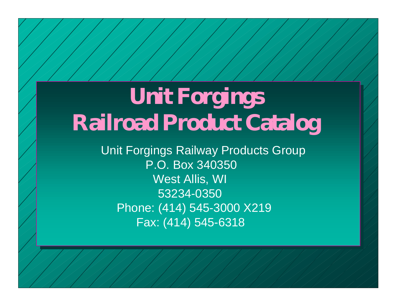## **Unit Forgings Railroad Product Catalog**

Unit Fo r gings Railway Products Group P.O. Box 3 4 0350 West Allis, WI 53234-0350Phone: (414) 545-3000 X219 Fax: (414) 545-6318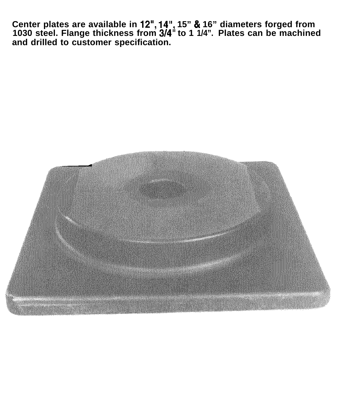**Center plates are available in 12", 14", 15" 81 16" diameters forged from 1030 steel. Flange thickness from 3/4" to 1 1/4". Plates can be machined and drilled to customer specification.**

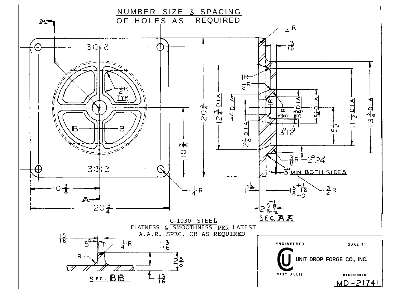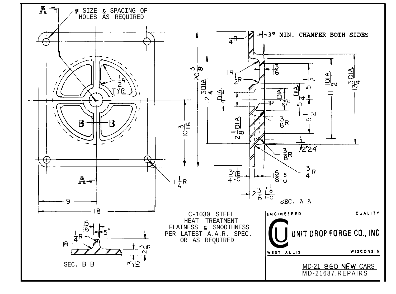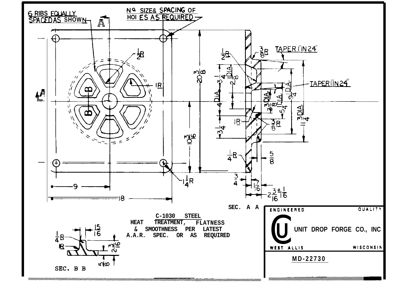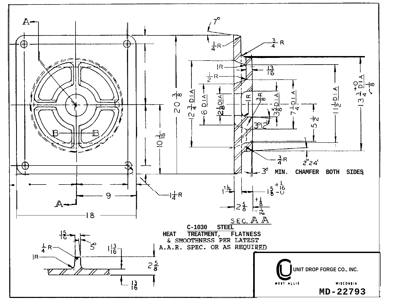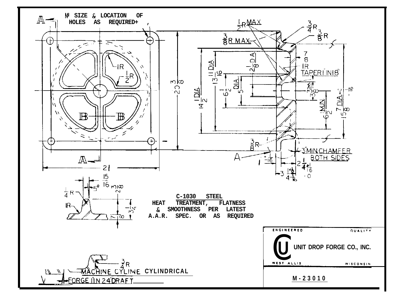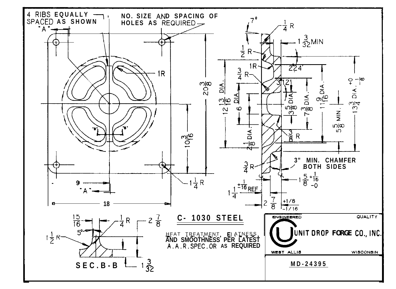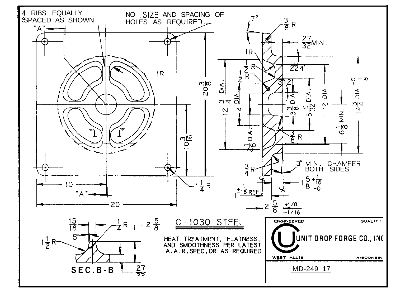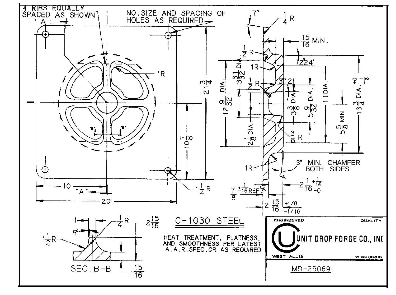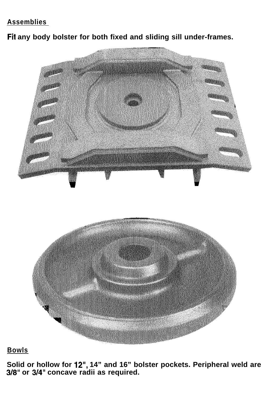## **Assemblies**

Fit any body bolster for both fixed and sliding sill under-frames.



## **Bowls**

**Solid or hollow for 12", 14" and 16" bolster pockets. Peripheral weld are 318" or 314" concave radii as required.**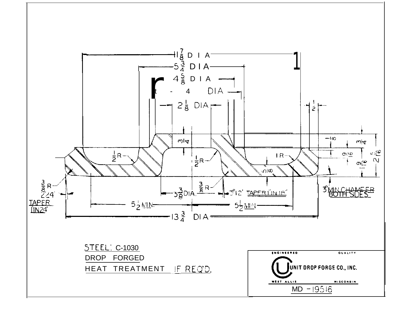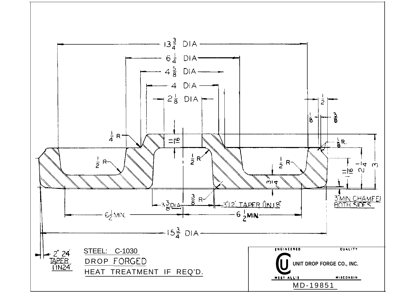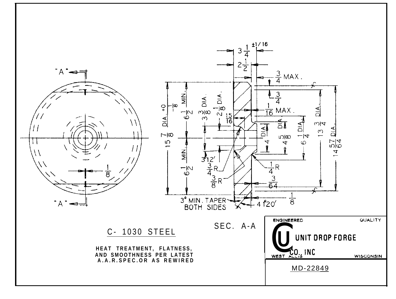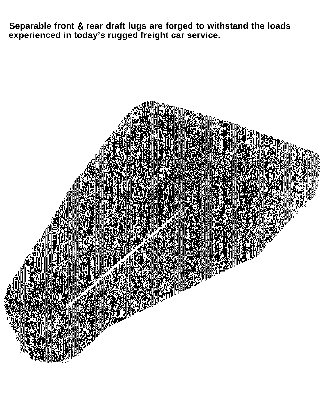**Separable front & rear draft lugs are forged to withstand the loads experienced in today's rugged freight car service.**

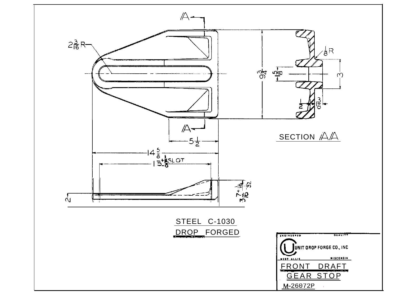